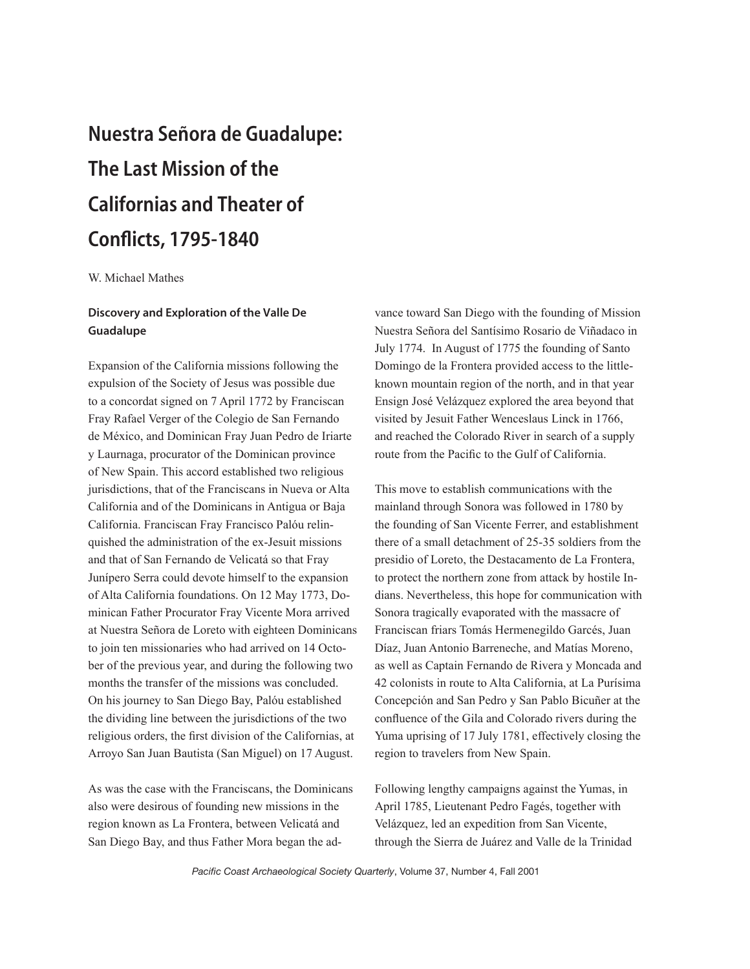## Nuestra Señora de Guadalupe: The Last Mission of the Californias and Theater of Conflicts, 1795-1840

W. Michael Mathes

## Discovery and Exploration of the Valle De Guadalupe

Expansion of the California missions following the expulsion of the Society of Jesus was possible due to a concordat signed on 7 April 1772 by Franciscan Fray Rafael Verger of the Colegio de San Fernando de México, and Dominican Fray Juan Pedro de Iriarte y Laurnaga, procurator of the Dominican province of New Spain. This accord established two religious jurisdictions, that of the Franciscans in Nueva or Alta California and of the Dominicans in Antigua or Baja California. Franciscan Fray Francisco Palóu relinquished the administration of the ex-Jesuit missions and that of San Fernando de Velicatá so that Fray Junípero Serra could devote himself to the expansion of Alta California foundations. On 12 May 1773, Dominican Father Procurator Fray Vicente Mora arrived at Nuestra Señora de Loreto with eighteen Dominicans to join ten missionaries who had arrived on 14 October of the previous year, and during the following two months the transfer of the missions was concluded. On his journey to San Diego Bay, Palóu established the dividing line between the jurisdictions of the two religious orders, the first division of the Californias, at Arroyo San Juan Bautista (San Miguel) on 17 August.

As was the case with the Franciscans, the Dominicans also were desirous of founding new missions in the region known as La Frontera, between Velicatá and San Diego Bay, and thus Father Mora began the advance toward San Diego with the founding of Mission Nuestra Señora del Santísimo Rosario de Viñadaco in July 1774. In August of 1775 the founding of Santo Domingo de la Frontera provided access to the littleknown mountain region of the north, and in that year Ensign José Velázquez explored the area beyond that visited by Jesuit Father Wenceslaus Linck in 1766, and reached the Colorado River in search of a supply route from the Pacific to the Gulf of California.

This move to establish communications with the mainland through Sonora was followed in 1780 by the founding of San Vicente Ferrer, and establishment there of a small detachment of 25-35 soldiers from the presidio of Loreto, the Destacamento de La Frontera, to protect the northern zone from attack by hostile Indians. Nevertheless, this hope for communication with Sonora tragically evaporated with the massacre of Franciscan friars Tomás Hermenegildo Garcés, Juan Díaz, Juan Antonio Barreneche, and Matías Moreno, as well as Captain Fernando de Rivera y Moncada and 42 colonists in route to Alta California, at La Purísima Concepción and San Pedro y San Pablo Bicuñer at the confluence of the Gila and Colorado rivers during the Yuma uprising of 17 July 1781, effectively closing the region to travelers from New Spain.

Following lengthy campaigns against the Yumas, in April 1785, Lieutenant Pedro Fagés, together with Velázquez, led an expedition from San Vicente, through the Sierra de Juárez and Valle de la Trinidad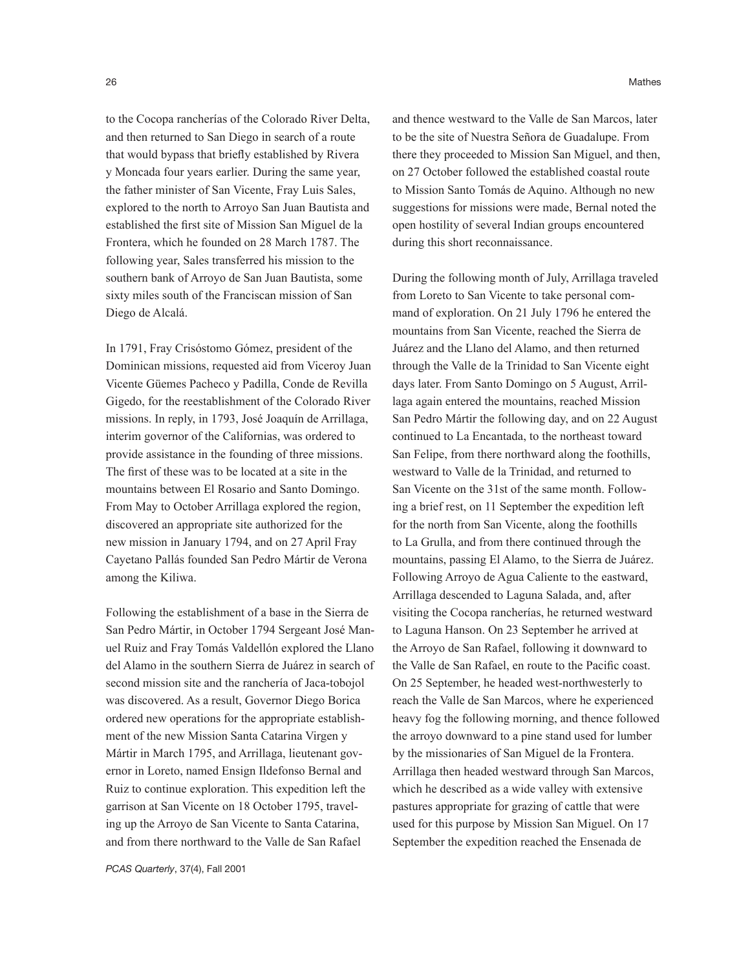to the Cocopa rancherías of the Colorado River Delta, and then returned to San Diego in search of a route that would bypass that briefly established by Rivera y Moncada four years earlier. During the same year, the father minister of San Vicente, Fray Luis Sales, explored to the north to Arroyo San Juan Bautista and established the first site of Mission San Miguel de la Frontera, which he founded on 28 March 1787. The following year, Sales transferred his mission to the southern bank of Arroyo de San Juan Bautista, some sixty miles south of the Franciscan mission of San Diego de Alcalá.

In 1791, Fray Crisóstomo Gómez, president of the Dominican missions, requested aid from Viceroy Juan Vicente Güemes Pacheco y Padilla, Conde de Revilla Gigedo, for the reestablishment of the Colorado River missions. In reply, in 1793, José Joaquín de Arrillaga, interim governor of the Californias, was ordered to provide assistance in the founding of three missions. The first of these was to be located at a site in the mountains between El Rosario and Santo Domingo. From May to October Arrillaga explored the region, discovered an appropriate site authorized for the new mission in January 1794, and on 27 April Fray Cayetano Pallás founded San Pedro Mártir de Verona among the Kiliwa.

Following the establishment of a base in the Sierra de San Pedro Mártir, in October 1794 Sergeant José Manuel Ruiz and Fray Tomás Valdellón explored the Llano del Alamo in the southern Sierra de Juárez in search of second mission site and the ranchería of Jaca-tobojol was discovered. As a result, Governor Diego Borica ordered new operations for the appropriate establishment of the new Mission Santa Catarina Virgen y Mártir in March 1795, and Arrillaga, lieutenant governor in Loreto, named Ensign Ildefonso Bernal and Ruiz to continue exploration. This expedition left the garrison at San Vicente on 18 October 1795, traveling up the Arroyo de San Vicente to Santa Catarina, and from there northward to the Valle de San Rafael

and thence westward to the Valle de San Marcos, later to be the site of Nuestra Señora de Guadalupe. From there they proceeded to Mission San Miguel, and then, on 27 October followed the established coastal route to Mission Santo Tomás de Aquino. Although no new suggestions for missions were made, Bernal noted the open hostility of several Indian groups encountered during this short reconnaissance.

During the following month of July, Arrillaga traveled from Loreto to San Vicente to take personal command of exploration. On 21 July 1796 he entered the mountains from San Vicente, reached the Sierra de Juárez and the Llano del Alamo, and then returned through the Valle de la Trinidad to San Vicente eight days later. From Santo Domingo on 5 August, Arrillaga again entered the mountains, reached Mission San Pedro Mártir the following day, and on 22 August continued to La Encantada, to the northeast toward San Felipe, from there northward along the foothills, westward to Valle de la Trinidad, and returned to San Vicente on the 31st of the same month. Following a brief rest, on 11 September the expedition left for the north from San Vicente, along the foothills to La Grulla, and from there continued through the mountains, passing El Alamo, to the Sierra de Juárez. Following Arroyo de Agua Caliente to the eastward, Arrillaga descended to Laguna Salada, and, after visiting the Cocopa rancherías, he returned westward to Laguna Hanson. On 23 September he arrived at the Arroyo de San Rafael, following it downward to the Valle de San Rafael, en route to the Pacific coast. On 25 September, he headed west-northwesterly to reach the Valle de San Marcos, where he experienced heavy fog the following morning, and thence followed the arroyo downward to a pine stand used for lumber by the missionaries of San Miguel de la Frontera. Arrillaga then headed westward through San Marcos, which he described as a wide valley with extensive pastures appropriate for grazing of cattle that were used for this purpose by Mission San Miguel. On 17 September the expedition reached the Ensenada de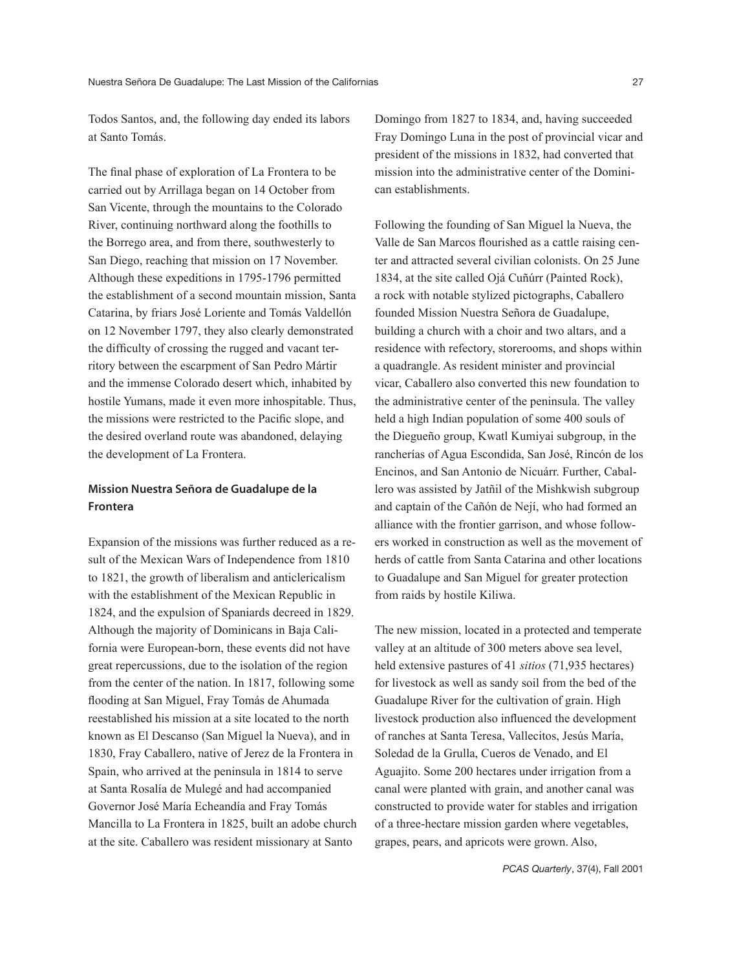Todos Santos, and, the following day ended its labors at Santo Tomás.

The final phase of exploration of La Frontera to be carried out by Arrillaga began on 14 October from San Vicente, through the mountains to the Colorado River, continuing northward along the foothills to the Borrego area, and from there, southwesterly to San Diego, reaching that mission on 17 November. Although these expeditions in 1795-1796 permitted the establishment of a second mountain mission, Santa Catarina, by friars José Loriente and Tomás Valdellón on 12 November 1797, they also clearly demonstrated the difficulty of crossing the rugged and vacant territory between the escarpment of San Pedro Mártir and the immense Colorado desert which, inhabited by hostile Yumans, made it even more inhospitable. Thus, the missions were restricted to the Pacific slope, and the desired overland route was abandoned, delaying the development of La Frontera.

## Mission Nuestra Señora de Guadalupe de la Frontera

Expansion of the missions was further reduced as a result of the Mexican Wars of Independence from 1810 to 1821, the growth of liberalism and anticlericalism with the establishment of the Mexican Republic in 1824, and the expulsion of Spaniards decreed in 1829. Although the majority of Dominicans in Baja California were European-born, these events did not have great repercussions, due to the isolation of the region from the center of the nation. In 1817, following some flooding at San Miguel, Fray Tomás de Ahumada reestablished his mission at a site located to the north known as El Descanso (San Miguel la Nueva), and in 1830, Fray Caballero, native of Jerez de la Frontera in Spain, who arrived at the peninsula in 1814 to serve at Santa Rosalía de Mulegé and had accompanied Governor José María Echeandía and Fray Tomás Mancilla to La Frontera in 1825, built an adobe church at the site. Caballero was resident missionary at Santo

Domingo from 1827 to 1834, and, having succeeded Fray Domingo Luna in the post of provincial vicar and president of the missions in 1832, had converted that mission into the administrative center of the Dominican establishments.

Following the founding of San Miguel la Nueva, the Valle de San Marcos flourished as a cattle raising center and attracted several civilian colonists. On 25 June 1834, at the site called Ojá Cuñúrr (Painted Rock), a rock with notable stylized pictographs, Caballero founded Mission Nuestra Señora de Guadalupe, building a church with a choir and two altars, and a residence with refectory, storerooms, and shops within a quadrangle. As resident minister and provincial vicar, Caballero also converted this new foundation to the administrative center of the peninsula. The valley held a high Indian population of some 400 souls of the Diegueño group, Kwatl Kumiyai subgroup, in the rancherías of Agua Escondida, San José, Rincón de los Encinos, and San Antonio de Nicuárr. Further, Caballero was assisted by Jatñil of the Mishkwish subgroup and captain of the Cañón de Nejí, who had formed an alliance with the frontier garrison, and whose followers worked in construction as well as the movement of herds of cattle from Santa Catarina and other locations to Guadalupe and San Miguel for greater protection from raids by hostile Kiliwa.

The new mission, located in a protected and temperate valley at an altitude of 300 meters above sea level, held extensive pastures of 41 *sitios* (71,935 hectares) for livestock as well as sandy soil from the bed of the Guadalupe River for the cultivation of grain. High livestock production also influenced the development of ranches at Santa Teresa, Vallecitos, Jesús María, Soledad de la Grulla, Cueros de Venado, and El Aguajito. Some 200 hectares under irrigation from a canal were planted with grain, and another canal was constructed to provide water for stables and irrigation of a three-hectare mission garden where vegetables, grapes, pears, and apricots were grown. Also,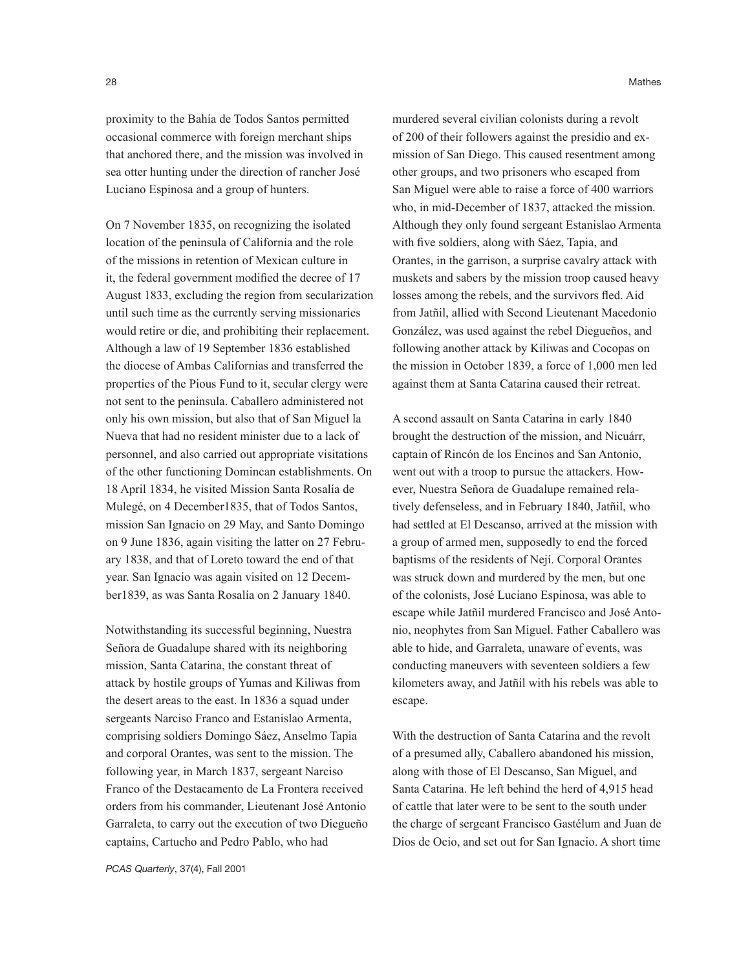28 Mathes and the contract of the contract of the contract of the contract of the contract of the contract of the contract of the contract of the contract of the contract of the contract of the contract of the contract of

proximity to the Bahía de Todos Santos permitted occasional commerce with foreign merchant ships that anchored there, and the mission was involved in sea otter hunting under the direction of rancher José Luciano Espinosa and a group of hunters.

On 7 November 1835, on recognizing the isolated location of the peninsula of California and the role of the missions in retention of Mexican culture in it, the federal government modified the decree of 17 August 1833, excluding the region from secularization until such time as the currently serving missionaries would retire or die, and prohibiting their replacement. Although a law of 19 September 1836 established the diocese of Ambas Californias and transferred the properties of the Pious Fund to it, secular clergy were not sent to the peninsula. Caballero administered not only his own mission, but also that of San Miguel la Nueva that had no resident minister due to a lack of personnel, and also carried out appropriate visitations of the other functioning Domincan establishments. On 18 April 1834, he visited Mission Santa Rosalía de Mulegé, on 4 December1835, that of Todos Santos, mission San Ignacio on 29 May, and Santo Domingo on 9 June 1836, again visiting the latter on 27 February 1838, and that of Loreto toward the end of that year. San Ignacio was again visited on 12 December1839, as was Santa Rosalía on 2 January 1840.

Notwithstanding its successful beginning, Nuestra Señora de Guadalupe shared with its neighboring mission, Santa Catarina, the constant threat of attack by hostile groups of Yumas and Kiliwas from the desert areas to the east. In 1836 a squad under sergeants Narciso Franco and Estanislao Armenta, comprising soldiers Domingo Sáez, Anselmo Tapia and corporal Orantes, was sent to the mission. The following year, in March 1837, sergeant Narciso Franco of the Destacamento de La Frontera received orders from his commander, Lieutenant José Antonio Garraleta, to carry out the execution of two Diegueño captains, Cartucho and Pedro Pablo, who had

murdered several civilian colonists during a revolt of 200 of their followers against the presidio and exmission of San Diego. This caused resentment among other groups, and two prisoners who escaped from San Miguel were able to raise a force of 400 warriors who, in mid-December of 1837, attacked the mission. Although they only found sergeant Estanislao Armenta with five soldiers, along with Sáez, Tapia, and Orantes, in the garrison, a surprise cavalry attack with muskets and sabers by the mission troop caused heavy losses among the rebels, and the survivors fled. Aid from Jatñil, allied with Second Lieutenant Macedonio González, was used against the rebel Diegueños, and following another attack by Kiliwas and Cocopas on the mission in October 1839, a force of 1,000 men led against them at Santa Catarina caused their retreat.

A second assault on Santa Catarina in early 1840 brought the destruction of the mission, and Nicuárr, captain of Rincón de los Encinos and San Antonio, went out with a troop to pursue the attackers. However, Nuestra Señora de Guadalupe remained relatively defenseless, and in February 1840, Jatñil, who had settled at El Descanso, arrived at the mission with a group of armed men, supposedly to end the forced baptisms of the residents of Nejí. Corporal Orantes was struck down and murdered by the men, but one of the colonists, José Luciano Espinosa, was able to escape while Jatñil murdered Francisco and José Antonio, neophytes from San Miguel. Father Caballero was able to hide, and Garraleta, unaware of events, was conducting maneuvers with seventeen soldiers a few kilometers away, and Jatñil with his rebels was able to escape.

With the destruction of Santa Catarina and the revolt of a presumed ally, Caballero abandoned his mission, along with those of El Descanso, San Miguel, and Santa Catarina. He left behind the herd of 4,915 head of cattle that later were to be sent to the south under the charge of sergeant Francisco Gastélum and Juan de Dios de Ocio, and set out for San Ignacio. A short time